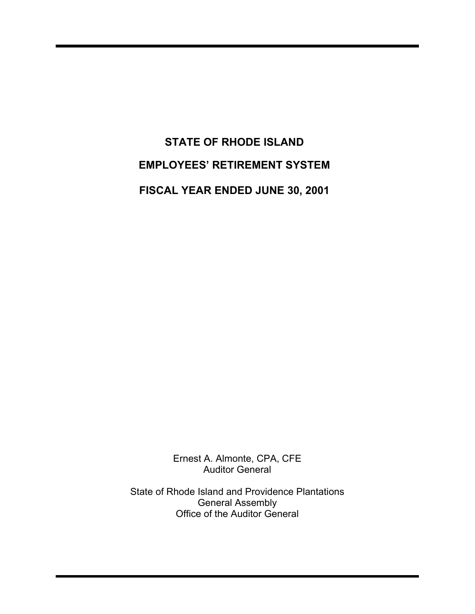# **STATE OF RHODE ISLAND EMPLOYEES' RETIREMENT SYSTEM FISCAL YEAR ENDED JUNE 30, 2001**

Ernest A. Almonte, CPA, CFE Auditor General

State of Rhode Island and Providence Plantations General Assembly Office of the Auditor General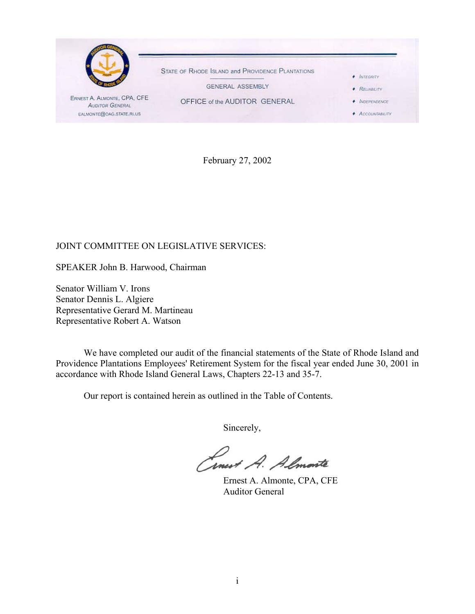

February 27, 2002

#### JOINT COMMITTEE ON LEGISLATIVE SERVICES:

SPEAKER John B. Harwood, Chairman

Senator William V. Irons Senator Dennis L. Algiere Representative Gerard M. Martineau Representative Robert A. Watson

We have completed our audit of the financial statements of the State of Rhode Island and Providence Plantations Employees' Retirement System for the fiscal year ended June 30, 2001 in accordance with Rhode Island General Laws, Chapters 22-13 and 35-7.

Our report is contained herein as outlined in the Table of Contents.

Sincerely,

Conest A. Almonte

Ernest A. Almonte, CPA, CFE Auditor General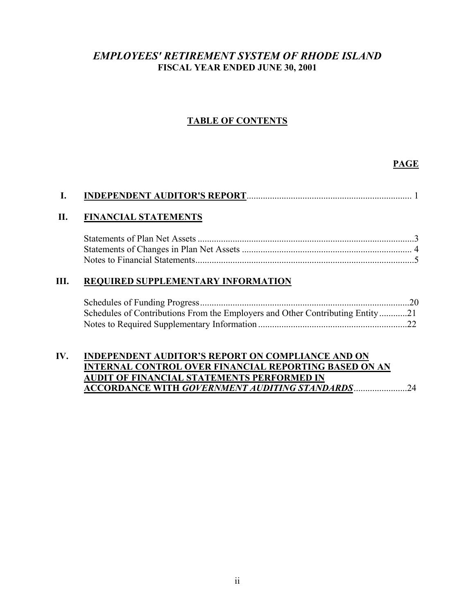## *EMPLOYEES' RETIREMENT SYSTEM OF RHODE ISLAND* **FISCAL YEAR ENDED JUNE 30, 2001**

## **TABLE OF CONTENTS**

#### **PAGE**

| L.  |                                                                               |    |
|-----|-------------------------------------------------------------------------------|----|
| П.  | <b>FINANCIAL STATEMENTS</b>                                                   |    |
|     |                                                                               |    |
|     |                                                                               |    |
|     |                                                                               |    |
| Ш.  | <b>REQUIRED SUPPLEMENTARY INFORMATION</b>                                     |    |
|     |                                                                               |    |
|     | Schedules of Contributions From the Employers and Other Contributing Entity21 |    |
|     |                                                                               |    |
|     |                                                                               |    |
| IV. | <b>INDEPENDENT AUDITOR'S REPORT ON COMPLIANCE AND ON</b>                      |    |
|     | <b>INTERNAL CONTROL OVER FINANCIAL REPORTING BASED ON AN</b>                  |    |
|     | AUDIT OF FINANCIAL STATEMENTS PERFORMED IN                                    |    |
|     | <b>ACCORDANCE WITH GOVERNMENT AUDITING STANDARDS</b>                          | 24 |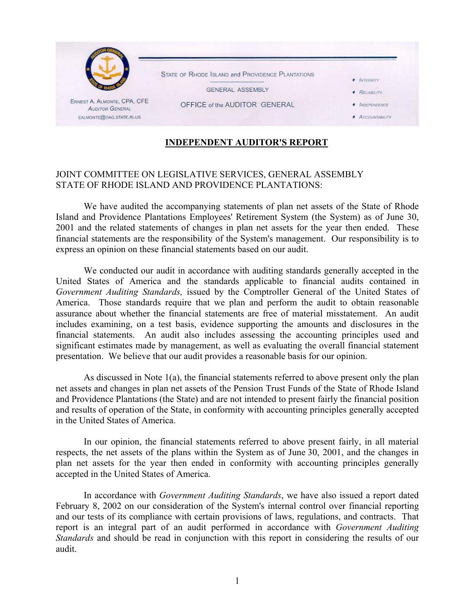

#### **INDEPENDENT AUDITOR'S REPORT**

#### JOINT COMMITTEE ON LEGISLATIVE SERVICES, GENERAL ASSEMBLY STATE OF RHODE ISLAND AND PROVIDENCE PLANTATIONS:

We have audited the accompanying statements of plan net assets of the State of Rhode Island and Providence Plantations Employees' Retirement System (the System) as of June 30, 2001 and the related statements of changes in plan net assets for the year then ended. These financial statements are the responsibility of the System's management. Our responsibility is to express an opinion on these financial statements based on our audit.

We conducted our audit in accordance with auditing standards generally accepted in the United States of America and the standards applicable to financial audits contained in *Government Auditing Standards,* issued by the Comptroller General of the United States of America. Those standards require that we plan and perform the audit to obtain reasonable assurance about whether the financial statements are free of material misstatement. An audit includes examining, on a test basis, evidence supporting the amounts and disclosures in the financial statements. An audit also includes assessing the accounting principles used and significant estimates made by management, as well as evaluating the overall financial statement presentation. We believe that our audit provides a reasonable basis for our opinion.

As discussed in Note 1(a), the financial statements referred to above present only the plan net assets and changes in plan net assets of the Pension Trust Funds of the State of Rhode Island and Providence Plantations (the State) and are not intended to present fairly the financial position and results of operation of the State, in conformity with accounting principles generally accepted in the United States of America.

In our opinion, the financial statements referred to above present fairly, in all material respects, the net assets of the plans within the System as of June 30, 2001, and the changes in plan net assets for the year then ended in conformity with accounting principles generally accepted in the United States of America.

In accordance with *Government Auditing Standards*, we have also issued a report dated February 8, 2002 on our consideration of the System's internal control over financial reporting and our tests of its compliance with certain provisions of laws, regulations, and contracts. That report is an integral part of an audit performed in accordance with *Government Auditing Standards* and should be read in conjunction with this report in considering the results of our audit.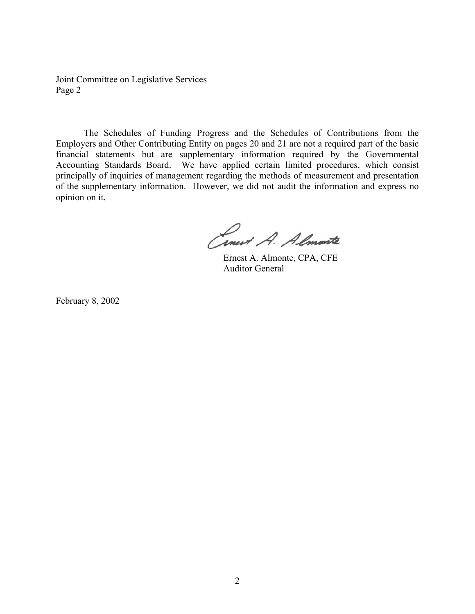Joint Committee on Legislative Services Page 2

The Schedules of Funding Progress and the Schedules of Contributions from the Employers and Other Contributing Entity on pages 20 and 21 are not a required part of the basic financial statements but are supplementary information required by the Governmental Accounting Standards Board. We have applied certain limited procedures, which consist principally of inquiries of management regarding the methods of measurement and presentation of the supplementary information. However, we did not audit the information and express no opinion on it.

Cinest A. Almonte

Ernest A. Almonte, CPA, CFE Auditor General

February 8, 2002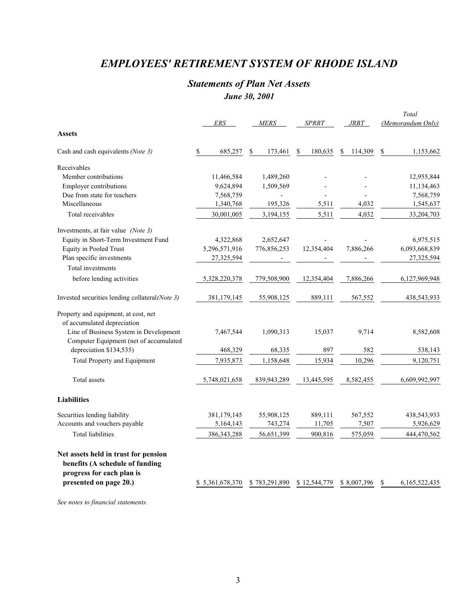## *EMPLOYEES' RETIREMENT SYSTEM OF RHODE ISLAND*

## *Statements of Plan Net Assets June 30, 2001*

|                                                                         |                 |                          |               |               | Total               |
|-------------------------------------------------------------------------|-----------------|--------------------------|---------------|---------------|---------------------|
|                                                                         | ERS             | <b>MERS</b>              | <b>SPRBT</b>  | <i>JRBT</i>   | (Memorandum Only)   |
| <b>Assets</b>                                                           |                 |                          |               |               |                     |
| Cash and cash equivalents (Note 3)                                      | \$<br>685,257   | \$<br>173,461            | 180,635<br>\$ | 114,309<br>\$ | \$<br>1,153,662     |
| Receivables                                                             |                 |                          |               |               |                     |
| Member contributions                                                    | 11,466,584      | 1,489,260                |               |               | 12,955,844          |
| <b>Employer contributions</b>                                           | 9,624,894       | 1,509,569                |               |               | 11,134,463          |
| Due from state for teachers                                             | 7,568,759       |                          |               |               | 7,568,759           |
| Miscellaneous                                                           | 1,340,768       | 195,326                  | 5,511         | 4,032         | 1,545,637           |
| Total receivables                                                       | 30,001,005      | 3,194,155                | 5,511         | 4,032         | 33,204,703          |
| Investments, at fair value (Note 3)                                     |                 |                          |               |               |                     |
| Equity in Short-Term Investment Fund                                    | 4,322,868       | 2,652,647                |               |               | 6,975,515           |
| Equity in Pooled Trust                                                  | 5,296,571,916   | 776,856,253              | 12,354,404    | 7,886,266     | 6,093,668,839       |
| Plan specific investments                                               | 27,325,594      | $\overline{\phantom{a}}$ |               |               | 27,325,594          |
| Total investments                                                       |                 |                          |               |               |                     |
| before lending activities                                               | 5,328,220,378   | 779,508,900              | 12,354,404    | 7,886,266     | 6,127,969,948       |
| Invested securities lending collateral(Note 3)                          | 381,179,145     | 55,908,125               | 889,111       | 567,552       | 438,543,933         |
| Property and equipment, at cost, net                                    |                 |                          |               |               |                     |
| of accumulated depreciation                                             |                 |                          |               |               |                     |
| Line of Business System in Development                                  | 7,467,544       | 1,090,313                | 15,037        | 9,714         | 8,582,608           |
| Computer Equipment (net of accumulated                                  |                 |                          |               |               |                     |
| depreciation \$134,535)                                                 | 468,329         | 68,335                   | 897           | 582           | 538,143             |
| Total Property and Equipment                                            | 7,935,873       | 1,158,648                | 15,934        | 10,296        | 9,120,751           |
| Total assets                                                            | 5,748,021,658   | 839,943,289              | 13,445,595    | 8,582,455     | 6,609,992,997       |
|                                                                         |                 |                          |               |               |                     |
| <b>Liabilities</b>                                                      |                 |                          |               |               |                     |
| Securities lending liability                                            | 381,179,145     | 55,908,125               | 889,111       | 567,552       | 438,543,933         |
| Accounts and vouchers payable                                           | 5,164,143       | 743,274                  | 11,705        | 7,507         | 5,926,629           |
| <b>Total liabilities</b>                                                | 386, 343, 288   | 56,651,399               | 900,816       | 575,059       | 444,470,562         |
| Net assets held in trust for pension<br>benefits (A schedule of funding |                 |                          |               |               |                     |
| progress for each plan is<br>presented on page 20.)                     | \$5,361,678,370 | \$783,291,890            | \$12,544,779  | \$8,007,396   | 6,165,522,435<br>\$ |

*See notes to financial statements.*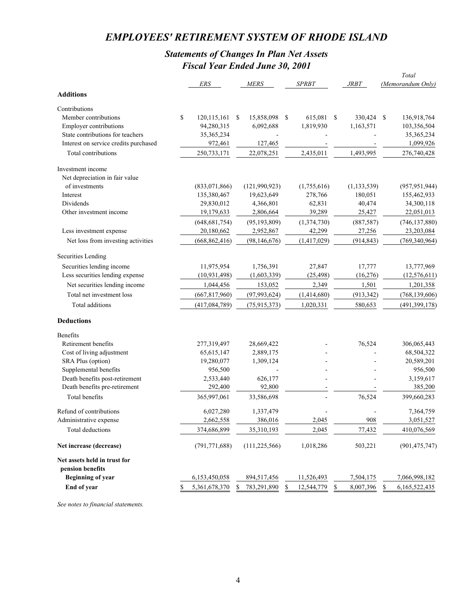## *EMPLOYEES' RETIREMENT SYSTEM OF RHODE ISLAND*

## *Statements of Changes In Plan Net Assets Fiscal Year Ended June 30, 2001*

|                                       |    |                 |    |                 |                  |    |               |    | Total             |
|---------------------------------------|----|-----------------|----|-----------------|------------------|----|---------------|----|-------------------|
|                                       |    | <b>ERS</b>      |    | MERS            | <b>SPRBT</b>     |    | <i>JRBT</i>   |    | (Memorandum Only) |
| <b>Additions</b>                      |    |                 |    |                 |                  |    |               |    |                   |
| Contributions                         |    |                 |    |                 |                  |    |               |    |                   |
| Member contributions                  | \$ | 120,115,161     | S. | 15,858,098      | \$<br>615,081    | -S | 330,424       | -S | 136,918,764       |
| <b>Employer contributions</b>         |    | 94,280,315      |    | 6,092,688       | 1,819,930        |    | 1,163,571     |    | 103,356,504       |
| State contributions for teachers      |    | 35, 365, 234    |    |                 |                  |    |               |    | 35,365,234        |
| Interest on service credits purchased |    | 972,461         |    | 127,465         |                  |    |               |    | 1,099,926         |
| Total contributions                   |    | 250,733,171     |    | 22,078,251      | 2,435,011        |    | 1,493,995     |    | 276,740,428       |
| Investment income                     |    |                 |    |                 |                  |    |               |    |                   |
| Net depreciation in fair value        |    |                 |    |                 |                  |    |               |    |                   |
| of investments                        |    | (833,071,866)   |    | (121,990,923)   | (1,755,616)      |    | (1, 133, 539) |    | (957, 951, 944)   |
| Interest                              |    | 135,380,467     |    | 19,623,649      | 278,766          |    | 180,051       |    | 155,462,933       |
| Dividends                             |    | 29,830,012      |    | 4,366,801       | 62,831           |    | 40,474        |    | 34,300,118        |
| Other investment income               |    | 19,179,633      |    | 2,806,664       | 39,289           |    | 25,427        |    | 22,051,013        |
|                                       |    | (648, 681, 754) |    | (95, 193, 809)  | (1,374,730)      |    | (887, 587)    |    | (746, 137, 880)   |
| Less investment expense               |    | 20,180,662      |    | 2,952,867       | 42,299           |    | 27,256        |    | 23,203,084        |
| Net loss from investing activities    |    | (668, 862, 416) |    | (98, 146, 676)  | (1,417,029)      |    | (914, 843)    |    | (769, 340, 964)   |
| Securities Lending                    |    |                 |    |                 |                  |    |               |    |                   |
| Securities lending income             |    | 11,975,954      |    | 1,756,391       | 27,847           |    | 17,777        |    | 13,777,969        |
| Less securities lending expense       |    | (10, 931, 498)  |    | (1,603,339)     | (25, 498)        |    | (16, 276)     |    | (12, 576, 611)    |
| Net securities lending income         |    | 1,044,456       |    | 153,052         | 2,349            |    | 1,501         |    | 1,201,358         |
| Total net investment loss             |    | (667, 817, 960) |    | (97, 993, 624)  | (1,414,680)      |    | (913, 342)    |    | (768, 139, 606)   |
| Total additions                       |    | (417,084,789)   |    | (75, 915, 373)  | 1,020,331        |    | 580,653       |    | (491, 399, 178)   |
|                                       |    |                 |    |                 |                  |    |               |    |                   |
| <b>Deductions</b>                     |    |                 |    |                 |                  |    |               |    |                   |
| <b>Benefits</b>                       |    |                 |    |                 |                  |    |               |    |                   |
| Retirement benefits                   |    | 277,319,497     |    | 28,669,422      |                  |    | 76,524        |    | 306,065,443       |
| Cost of living adjustment             |    | 65, 615, 147    |    | 2,889,175       |                  |    |               |    | 68,504,322        |
| SRA Plus (option)                     |    | 19,280,077      |    | 1,309,124       |                  |    |               |    | 20,589,201        |
| Supplemental benefits                 |    | 956,500         |    |                 |                  |    |               |    | 956,500           |
| Death benefits post-retirement        |    | 2,533,440       |    | 626,177         |                  |    |               |    | 3,159,617         |
| Death benefits pre-retirement         |    | 292,400         |    | 92,800          |                  |    |               |    | 385,200           |
| <b>Total benefits</b>                 |    | 365,997,061     |    | 33,586,698      |                  |    | 76,524        |    | 399,660,283       |
| Refund of contributions               |    | 6,027,280       |    | 1,337,479       |                  |    |               |    | 7,364,759         |
| Administrative expense                |    | 2,662,558       |    | 386,016         | 2,045            |    | 908           |    | 3,051,527         |
| Total deductions                      |    | 374,686,899     |    | 35,310,193      | 2,045            |    | 77,432        |    | 410,076,569       |
| Net increase (decrease)               |    | (791, 771, 688) |    | (111, 225, 566) | 1,018,286        |    | 503,221       |    | (901, 475, 747)   |
| Net assets held in trust for          |    |                 |    |                 |                  |    |               |    |                   |
| pension benefits                      |    |                 |    |                 |                  |    |               |    |                   |
| <b>Beginning of year</b>              |    | 6,153,450,058   |    | 894,517,456     | 11,526,493       |    | 7,504,175     |    | 7,066,998,182     |
| End of year                           | S. | 5,361,678,370   | \$ | 783,291,890     | \$<br>12,544,779 | \$ | 8,007,396     | \$ | 6,165,522,435     |

*See notes to financial statements.*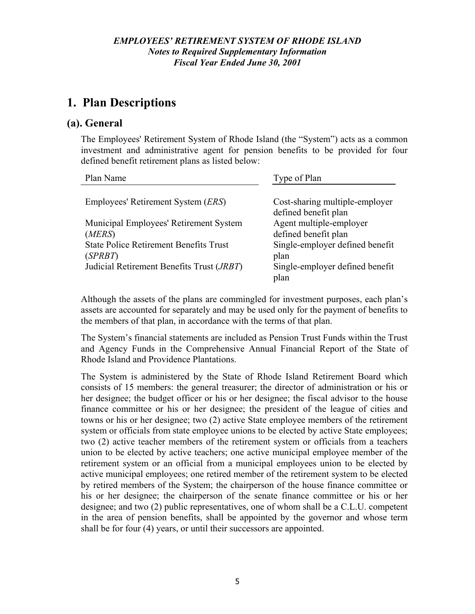# **1. Plan Descriptions**

#### **(a). General**

The Employees' Retirement System of Rhode Island (the "System") acts as a common investment and administrative agent for pension benefits to be provided for four defined benefit retirement plans as listed below:

| Plan Name                                          | Type of Plan                                    |
|----------------------------------------------------|-------------------------------------------------|
| Employees' Retirement System ( <i>ERS</i> )        | Cost-sharing multiple-employer                  |
| Municipal Employees' Retirement System             | defined benefit plan<br>Agent multiple-employer |
| (MERS)                                             | defined benefit plan                            |
| <b>State Police Retirement Benefits Trust</b>      | Single-employer defined benefit                 |
| (SPRBT)                                            | plan                                            |
| Judicial Retirement Benefits Trust ( <i>JRBT</i> ) | Single-employer defined benefit<br>plan         |

Although the assets of the plans are commingled for investment purposes, each plan's assets are accounted for separately and may be used only for the payment of benefits to the members of that plan, in accordance with the terms of that plan.

The System's financial statements are included as Pension Trust Funds within the Trust and Agency Funds in the Comprehensive Annual Financial Report of the State of Rhode Island and Providence Plantations.

The System is administered by the State of Rhode Island Retirement Board which consists of 15 members: the general treasurer; the director of administration or his or her designee; the budget officer or his or her designee; the fiscal advisor to the house finance committee or his or her designee; the president of the league of cities and towns or his or her designee; two (2) active State employee members of the retirement system or officials from state employee unions to be elected by active State employees; two (2) active teacher members of the retirement system or officials from a teachers union to be elected by active teachers; one active municipal employee member of the retirement system or an official from a municipal employees union to be elected by active municipal employees; one retired member of the retirement system to be elected by retired members of the System; the chairperson of the house finance committee or his or her designee; the chairperson of the senate finance committee or his or her designee; and two (2) public representatives, one of whom shall be a C.L.U. competent in the area of pension benefits, shall be appointed by the governor and whose term shall be for four (4) years, or until their successors are appointed.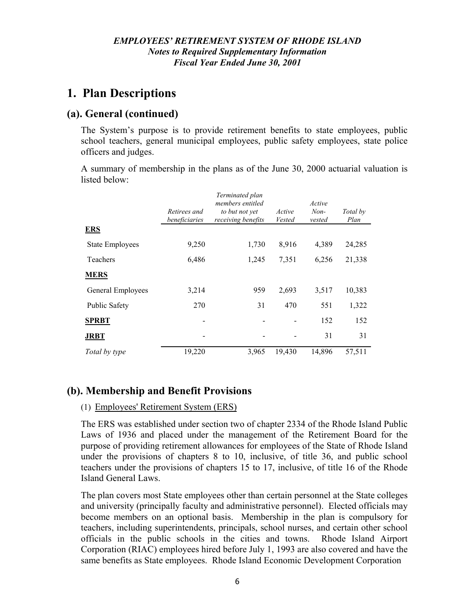# **1. Plan Descriptions**

## **(a). General (continued)**

The System's purpose is to provide retirement benefits to state employees, public school teachers, general municipal employees, public safety employees, state police officers and judges.

A summary of membership in the plans as of the June 30, 2000 actuarial valuation is listed below:

|                        |                               | Terminated plan<br>members entitled  |                  | Active           |                  |
|------------------------|-------------------------------|--------------------------------------|------------------|------------------|------------------|
|                        | Retirees and<br>beneficiaries | to but not yet<br>receiving benefits | Active<br>Vested | $Non-$<br>vested | Total by<br>Plan |
| <b>ERS</b>             |                               |                                      |                  |                  |                  |
| <b>State Employees</b> | 9,250                         | 1,730                                | 8,916            | 4,389            | 24,285           |
| Teachers               | 6,486                         | 1,245                                | 7,351            | 6,256            | 21,338           |
| <b>MERS</b>            |                               |                                      |                  |                  |                  |
| General Employees      | 3,214                         | 959                                  | 2,693            | 3,517            | 10,383           |
| <b>Public Safety</b>   | 270                           | 31                                   | 470              | 551              | 1,322            |
| <b>SPRBT</b>           |                               |                                      |                  | 152              | 152              |
| <b>JRBT</b>            |                               |                                      |                  | 31               | 31               |
| Total by type          | 19,220                        | 3,965                                | 19,430           | 14,896           | 57,511           |

## **(b). Membership and Benefit Provisions**

#### (1) Employees' Retirement System (ERS)

The ERS was established under section two of chapter 2334 of the Rhode Island Public Laws of 1936 and placed under the management of the Retirement Board for the purpose of providing retirement allowances for employees of the State of Rhode Island under the provisions of chapters 8 to 10, inclusive, of title 36, and public school teachers under the provisions of chapters 15 to 17, inclusive, of title 16 of the Rhode Island General Laws.

The plan covers most State employees other than certain personnel at the State colleges and university (principally faculty and administrative personnel). Elected officials may become members on an optional basis. Membership in the plan is compulsory for teachers, including superintendents, principals, school nurses, and certain other school officials in the public schools in the cities and towns. Rhode Island Airport Corporation (RIAC) employees hired before July 1, 1993 are also covered and have the same benefits as State employees. Rhode Island Economic Development Corporation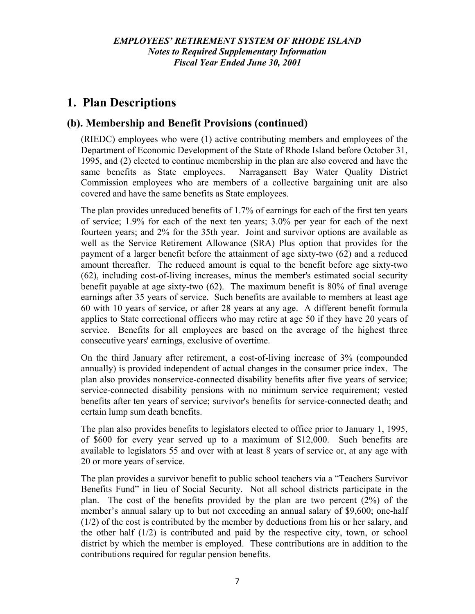## **(b). Membership and Benefit Provisions (continued)**

(RIEDC) employees who were (1) active contributing members and employees of the Department of Economic Development of the State of Rhode Island before October 31, 1995, and (2) elected to continue membership in the plan are also covered and have the same benefits as State employees. Narragansett Bay Water Quality District Commission employees who are members of a collective bargaining unit are also covered and have the same benefits as State employees.

The plan provides unreduced benefits of 1.7% of earnings for each of the first ten years of service; 1.9% for each of the next ten years; 3.0% per year for each of the next fourteen years; and 2% for the 35th year. Joint and survivor options are available as well as the Service Retirement Allowance (SRA) Plus option that provides for the payment of a larger benefit before the attainment of age sixty-two (62) and a reduced amount thereafter. The reduced amount is equal to the benefit before age sixty-two (62), including cost-of-living increases, minus the member's estimated social security benefit payable at age sixty-two (62). The maximum benefit is 80% of final average earnings after 35 years of service. Such benefits are available to members at least age 60 with 10 years of service, or after 28 years at any age. A different benefit formula applies to State correctional officers who may retire at age 50 if they have 20 years of service. Benefits for all employees are based on the average of the highest three consecutive years' earnings, exclusive of overtime.

On the third January after retirement, a cost-of-living increase of 3% (compounded annually) is provided independent of actual changes in the consumer price index. The plan also provides nonservice-connected disability benefits after five years of service; service-connected disability pensions with no minimum service requirement; vested benefits after ten years of service; survivor's benefits for service-connected death; and certain lump sum death benefits.

The plan also provides benefits to legislators elected to office prior to January 1, 1995, of \$600 for every year served up to a maximum of \$12,000. Such benefits are available to legislators 55 and over with at least 8 years of service or, at any age with 20 or more years of service.

The plan provides a survivor benefit to public school teachers via a "Teachers Survivor Benefits Fund" in lieu of Social Security. Not all school districts participate in the plan. The cost of the benefits provided by the plan are two percent (2%) of the member's annual salary up to but not exceeding an annual salary of \$9,600; one-half (1/2) of the cost is contributed by the member by deductions from his or her salary, and the other half (1/2) is contributed and paid by the respective city, town, or school district by which the member is employed. These contributions are in addition to the contributions required for regular pension benefits.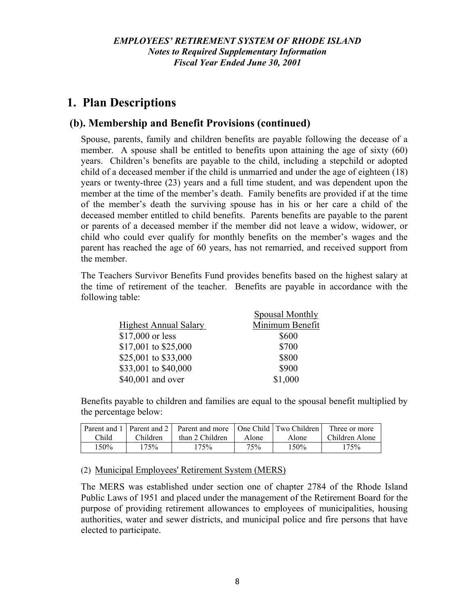## **(b). Membership and Benefit Provisions (continued)**

Spouse, parents, family and children benefits are payable following the decease of a member. A spouse shall be entitled to benefits upon attaining the age of sixty (60) years. Children's benefits are payable to the child, including a stepchild or adopted child of a deceased member if the child is unmarried and under the age of eighteen (18) years or twenty-three (23) years and a full time student, and was dependent upon the member at the time of the member's death. Family benefits are provided if at the time of the member's death the surviving spouse has in his or her care a child of the deceased member entitled to child benefits. Parents benefits are payable to the parent or parents of a deceased member if the member did not leave a widow, widower, or child who could ever qualify for monthly benefits on the member's wages and the parent has reached the age of 60 years, has not remarried, and received support from the member.

The Teachers Survivor Benefits Fund provides benefits based on the highest salary at the time of retirement of the teacher. Benefits are payable in accordance with the following table:

|                              | <b>Spousal Monthly</b> |
|------------------------------|------------------------|
| <b>Highest Annual Salary</b> | Minimum Benefit        |
| \$17,000 or less             | \$600                  |
| \$17,001 to \$25,000         | \$700                  |
| \$25,001 to \$33,000         | \$800                  |
| \$33,001 to \$40,000         | \$900                  |
| \$40,001 and over            | \$1,000                |

Benefits payable to children and families are equal to the spousal benefit multiplied by the percentage below:

|       |          | Parent and 1   Parent and 2   Parent and more   One Child   Two Children |       |       | Three or more  |
|-------|----------|--------------------------------------------------------------------------|-------|-------|----------------|
| Child | Children | than 2 Children                                                          | Alone | Alone | Children Alone |
| 150%  | 175%     | 175%                                                                     | 75%   | 150%  | 175%           |

(2) Municipal Employees' Retirement System (MERS)

The MERS was established under section one of chapter 2784 of the Rhode Island Public Laws of 1951 and placed under the management of the Retirement Board for the purpose of providing retirement allowances to employees of municipalities, housing authorities, water and sewer districts, and municipal police and fire persons that have elected to participate.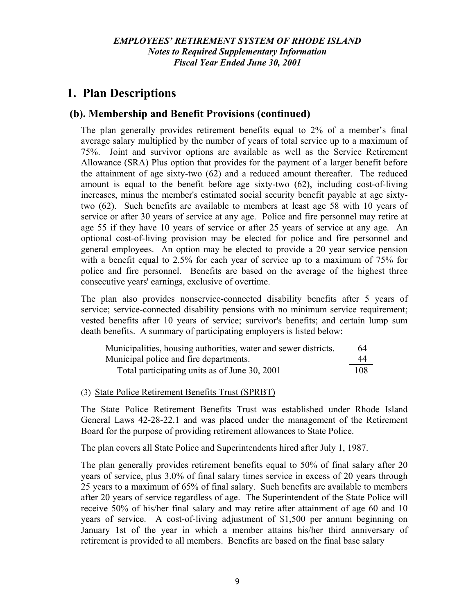## **(b). Membership and Benefit Provisions (continued)**

The plan generally provides retirement benefits equal to 2% of a member's final average salary multiplied by the number of years of total service up to a maximum of 75%. Joint and survivor options are available as well as the Service Retirement Allowance (SRA) Plus option that provides for the payment of a larger benefit before the attainment of age sixty-two (62) and a reduced amount thereafter. The reduced amount is equal to the benefit before age sixty-two (62), including cost-of-living increases, minus the member's estimated social security benefit payable at age sixtytwo (62). Such benefits are available to members at least age 58 with 10 years of service or after 30 years of service at any age. Police and fire personnel may retire at age 55 if they have 10 years of service or after 25 years of service at any age. An optional cost-of-living provision may be elected for police and fire personnel and general employees. An option may be elected to provide a 20 year service pension with a benefit equal to 2.5% for each year of service up to a maximum of 75% for police and fire personnel. Benefits are based on the average of the highest three consecutive years' earnings, exclusive of overtime.

The plan also provides nonservice-connected disability benefits after 5 years of service; service-connected disability pensions with no minimum service requirement; vested benefits after 10 years of service; survivor's benefits; and certain lump sum death benefits. A summary of participating employers is listed below:

| Municipalities, housing authorities, water and sewer districts. | 64  |
|-----------------------------------------------------------------|-----|
| Municipal police and fire departments.                          | 44  |
| Total participating units as of June 30, 2001                   | 108 |

(3) State Police Retirement Benefits Trust (SPRBT)

The State Police Retirement Benefits Trust was established under Rhode Island General Laws 42-28-22.1 and was placed under the management of the Retirement Board for the purpose of providing retirement allowances to State Police.

The plan covers all State Police and Superintendents hired after July 1, 1987.

The plan generally provides retirement benefits equal to 50% of final salary after 20 years of service, plus 3.0% of final salary times service in excess of 20 years through 25 years to a maximum of 65% of final salary. Such benefits are available to members after 20 years of service regardless of age. The Superintendent of the State Police will receive 50% of his/her final salary and may retire after attainment of age 60 and 10 years of service. A cost-of-living adjustment of \$1,500 per annum beginning on January 1st of the year in which a member attains his/her third anniversary of retirement is provided to all members. Benefits are based on the final base salary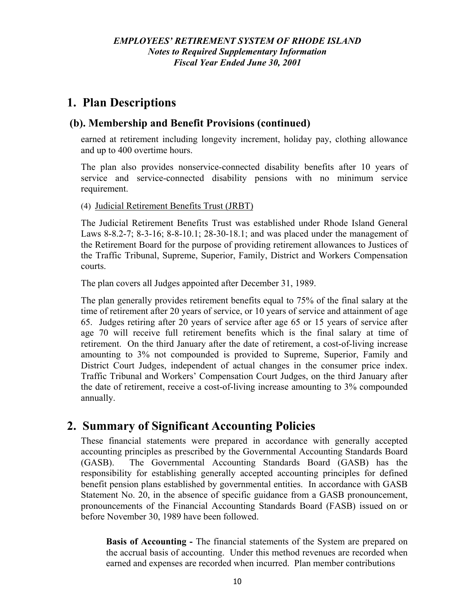## **(b). Membership and Benefit Provisions (continued)**

earned at retirement including longevity increment, holiday pay, clothing allowance and up to 400 overtime hours.

The plan also provides nonservice-connected disability benefits after 10 years of service and service-connected disability pensions with no minimum service requirement.

(4) Judicial Retirement Benefits Trust (JRBT)

The Judicial Retirement Benefits Trust was established under Rhode Island General Laws 8-8.2-7; 8-3-16; 8-8-10.1; 28-30-18.1; and was placed under the management of the Retirement Board for the purpose of providing retirement allowances to Justices of the Traffic Tribunal, Supreme, Superior, Family, District and Workers Compensation courts.

The plan covers all Judges appointed after December 31, 1989.

The plan generally provides retirement benefits equal to 75% of the final salary at the time of retirement after 20 years of service, or 10 years of service and attainment of age 65. Judges retiring after 20 years of service after age 65 or 15 years of service after age 70 will receive full retirement benefits which is the final salary at time of retirement. On the third January after the date of retirement, a cost-of-living increase amounting to 3% not compounded is provided to Supreme, Superior, Family and District Court Judges, independent of actual changes in the consumer price index. Traffic Tribunal and Workers' Compensation Court Judges, on the third January after the date of retirement, receive a cost-of-living increase amounting to 3% compounded annually.

# **2. Summary of Significant Accounting Policies**

These financial statements were prepared in accordance with generally accepted accounting principles as prescribed by the Governmental Accounting Standards Board (GASB). The Governmental Accounting Standards Board (GASB) has the responsibility for establishing generally accepted accounting principles for defined benefit pension plans established by governmental entities. In accordance with GASB Statement No. 20, in the absence of specific guidance from a GASB pronouncement, pronouncements of the Financial Accounting Standards Board (FASB) issued on or before November 30, 1989 have been followed.

**Basis of Accounting -** The financial statements of the System are prepared on the accrual basis of accounting. Under this method revenues are recorded when earned and expenses are recorded when incurred. Plan member contributions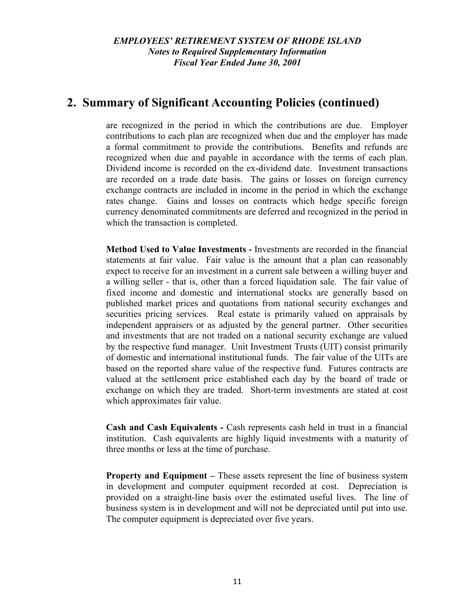## **2. Summary of Significant Accounting Policies (continued)**

are recognized in the period in which the contributions are due. Employer contributions to each plan are recognized when due and the employer has made a formal commitment to provide the contributions. Benefits and refunds are recognized when due and payable in accordance with the terms of each plan. Dividend income is recorded on the ex-dividend date. Investment transactions are recorded on a trade date basis. The gains or losses on foreign currency exchange contracts are included in income in the period in which the exchange rates change. Gains and losses on contracts which hedge specific foreign currency denominated commitments are deferred and recognized in the period in which the transaction is completed.

**Method Used to Value Investments -** Investments are recorded in the financial statements at fair value. Fair value is the amount that a plan can reasonably expect to receive for an investment in a current sale between a willing buyer and a willing seller - that is, other than a forced liquidation sale. The fair value of fixed income and domestic and international stocks are generally based on published market prices and quotations from national security exchanges and securities pricing services. Real estate is primarily valued on appraisals by independent appraisers or as adjusted by the general partner. Other securities and investments that are not traded on a national security exchange are valued by the respective fund manager. Unit Investment Trusts (UIT) consist primarily of domestic and international institutional funds. The fair value of the UITs are based on the reported share value of the respective fund. Futures contracts are valued at the settlement price established each day by the board of trade or exchange on which they are traded. Short-term investments are stated at cost which approximates fair value.

**Cash and Cash Equivalents -** Cash represents cash held in trust in a financial institution. Cash equivalents are highly liquid investments with a maturity of three months or less at the time of purchase.

**Property and Equipment –** These assets represent the line of business system in development and computer equipment recorded at cost. Depreciation is provided on a straight-line basis over the estimated useful lives. The line of business system is in development and will not be depreciated until put into use. The computer equipment is depreciated over five years.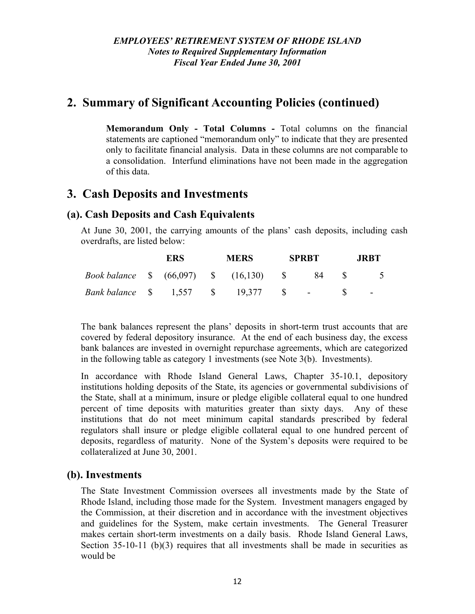# **2. Summary of Significant Accounting Policies (continued)**

**Memorandum Only - Total Columns -** Total columns on the financial statements are captioned "memorandum only" to indicate that they are presented only to facilitate financial analysis. Data in these columns are not comparable to a consolidation. Interfund eliminations have not been made in the aggregation of this data.

## **3. Cash Deposits and Investments**

## **(a). Cash Deposits and Cash Equivalents**

At June 30, 2001, the carrying amounts of the plans' cash deposits, including cash overdrafts, are listed below:

|                                            | ERS |  | <b>MERS</b> |  | <b>SPRBT</b> | JRBT. |  |  |
|--------------------------------------------|-----|--|-------------|--|--------------|-------|--|--|
| Book balance \$ (66,097) \$ (16,130) \$ 84 |     |  |             |  |              |       |  |  |
| Bank balance \$ 1,557 \$ 19,377 \$ -       |     |  |             |  |              |       |  |  |

The bank balances represent the plans' deposits in short-term trust accounts that are covered by federal depository insurance. At the end of each business day, the excess bank balances are invested in overnight repurchase agreements, which are categorized in the following table as category 1 investments (see Note 3(b). Investments).

In accordance with Rhode Island General Laws, Chapter 35-10.1, depository institutions holding deposits of the State, its agencies or governmental subdivisions of the State, shall at a minimum, insure or pledge eligible collateral equal to one hundred percent of time deposits with maturities greater than sixty days. Any of these institutions that do not meet minimum capital standards prescribed by federal regulators shall insure or pledge eligible collateral equal to one hundred percent of deposits, regardless of maturity. None of the System's deposits were required to be collateralized at June 30, 2001.

### **(b). Investments**

The State Investment Commission oversees all investments made by the State of Rhode Island, including those made for the System. Investment managers engaged by the Commission, at their discretion and in accordance with the investment objectives and guidelines for the System, make certain investments. The General Treasurer makes certain short-term investments on a daily basis. Rhode Island General Laws, Section  $35-10-11$  (b)(3) requires that all investments shall be made in securities as would be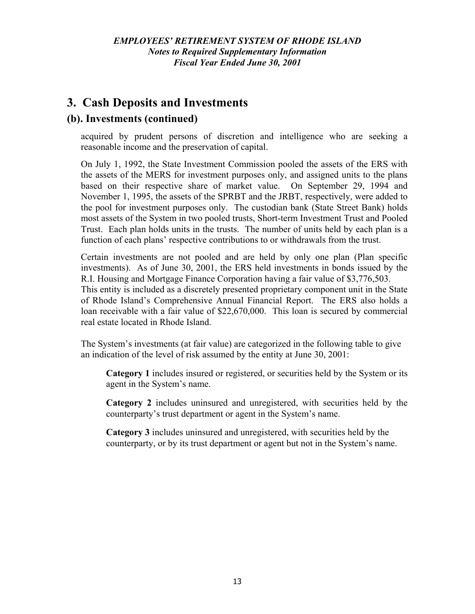# **3. Cash Deposits and Investments**

## **(b). Investments (continued)**

acquired by prudent persons of discretion and intelligence who are seeking a reasonable income and the preservation of capital.

On July 1, 1992, the State Investment Commission pooled the assets of the ERS with the assets of the MERS for investment purposes only, and assigned units to the plans based on their respective share of market value. On September 29, 1994 and November 1, 1995, the assets of the SPRBT and the JRBT, respectively, were added to the pool for investment purposes only. The custodian bank (State Street Bank) holds most assets of the System in two pooled trusts, Short-term Investment Trust and Pooled Trust. Each plan holds units in the trusts. The number of units held by each plan is a function of each plans' respective contributions to or withdrawals from the trust.

Certain investments are not pooled and are held by only one plan (Plan specific investments). As of June 30, 2001, the ERS held investments in bonds issued by the R.I. Housing and Mortgage Finance Corporation having a fair value of \$3,776,503. This entity is included as a discretely presented proprietary component unit in the State of Rhode Island's Comprehensive Annual Financial Report. The ERS also holds a loan receivable with a fair value of \$22,670,000. This loan is secured by commercial real estate located in Rhode Island.

The System's investments (at fair value) are categorized in the following table to give an indication of the level of risk assumed by the entity at June 30, 2001:

**Category 1** includes insured or registered, or securities held by the System or its agent in the System's name.

**Category 2** includes uninsured and unregistered, with securities held by the counterparty's trust department or agent in the System's name.

**Category 3** includes uninsured and unregistered, with securities held by the counterparty, or by its trust department or agent but not in the System's name.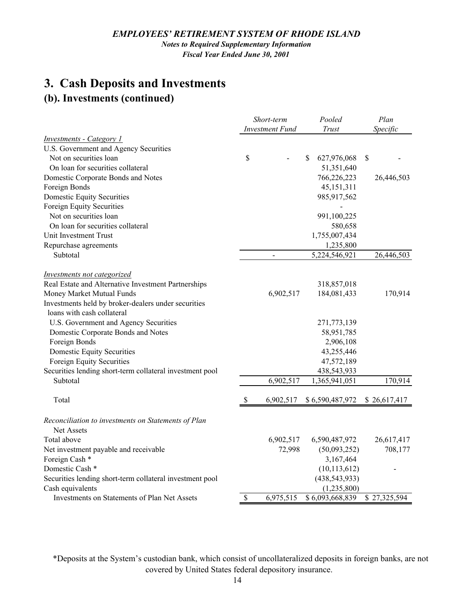#### *EMPLOYEES' RETIREMENT SYSTEM OF RHODE ISLAND*

*Notes to Required Supplementary Information Fiscal Year Ended June 30, 2001*

# **3. Cash Deposits and Investments**

# **(b). Investments (continued)**

|                                                                                           |    | Short-term<br><b>Investment Fund</b> | Pooled<br>Trust            | Plan<br>Specific |  |
|-------------------------------------------------------------------------------------------|----|--------------------------------------|----------------------------|------------------|--|
| <b>Investments - Category 1</b>                                                           |    |                                      |                            |                  |  |
| U.S. Government and Agency Securities                                                     |    |                                      |                            |                  |  |
| Not on securities loan                                                                    | \$ |                                      | \$<br>627,976,068          | \$               |  |
| On loan for securities collateral                                                         |    |                                      | 51,351,640                 |                  |  |
| Domestic Corporate Bonds and Notes                                                        |    |                                      | 766,226,223                | 26,446,503       |  |
| Foreign Bonds                                                                             |    |                                      | 45, 151, 311               |                  |  |
| <b>Domestic Equity Securities</b>                                                         |    |                                      | 985,917,562                |                  |  |
| Foreign Equity Securities                                                                 |    |                                      |                            |                  |  |
| Not on securities loan                                                                    |    |                                      | 991,100,225                |                  |  |
| On loan for securities collateral                                                         |    |                                      | 580,658                    |                  |  |
| Unit Investment Trust                                                                     |    |                                      | 1,755,007,434              |                  |  |
| Repurchase agreements                                                                     |    |                                      | 1,235,800                  |                  |  |
| Subtotal                                                                                  |    |                                      | $\overline{5,224,546,921}$ | 26,446,503       |  |
|                                                                                           |    |                                      |                            |                  |  |
| <b>Investments not categorized</b><br>Real Estate and Alternative Investment Partnerships |    |                                      | 318,857,018                |                  |  |
| Money Market Mutual Funds                                                                 |    | 6,902,517                            | 184,081,433                | 170,914          |  |
| Investments held by broker-dealers under securities                                       |    |                                      |                            |                  |  |
| loans with cash collateral                                                                |    |                                      |                            |                  |  |
| U.S. Government and Agency Securities                                                     |    |                                      | 271,773,139                |                  |  |
| Domestic Corporate Bonds and Notes                                                        |    |                                      | 58,951,785                 |                  |  |
| Foreign Bonds                                                                             |    |                                      | 2,906,108                  |                  |  |
| Domestic Equity Securities                                                                |    |                                      | 43,255,446                 |                  |  |
| Foreign Equity Securities                                                                 |    |                                      | 47,572,189                 |                  |  |
| Securities lending short-term collateral investment pool                                  |    |                                      | 438,543,933                |                  |  |
| Subtotal                                                                                  |    | 6,902,517                            | 1,365,941,051              | 170,914          |  |
| Total                                                                                     | -S | 6,902,517                            | \$6,590,487,972            | \$26,617,417     |  |
|                                                                                           |    |                                      |                            |                  |  |
| Reconciliation to investments on Statements of Plan                                       |    |                                      |                            |                  |  |
| <b>Net Assets</b>                                                                         |    |                                      |                            |                  |  |
| Total above                                                                               |    | 6,902,517                            | 6,590,487,972              | 26,617,417       |  |
| Net investment payable and receivable                                                     |    | 72,998                               | (50,093,252)               | 708,177          |  |
| Foreign Cash *                                                                            |    |                                      | 3,167,464                  |                  |  |
| Domestic Cash <sup>*</sup>                                                                |    |                                      | (10, 113, 612)             |                  |  |
| Securities lending short-term collateral investment pool                                  |    |                                      | (438, 543, 933)            |                  |  |
| Cash equivalents                                                                          |    |                                      | (1,235,800)                |                  |  |
| <b>Investments on Statements of Plan Net Assets</b>                                       | \$ | 6,975,515                            | \$6,093,668,839            | \$27,325,594     |  |

\*Deposits at the System's custodian bank, which consist of uncollateralized deposits in foreign banks, are not covered by United States federal depository insurance.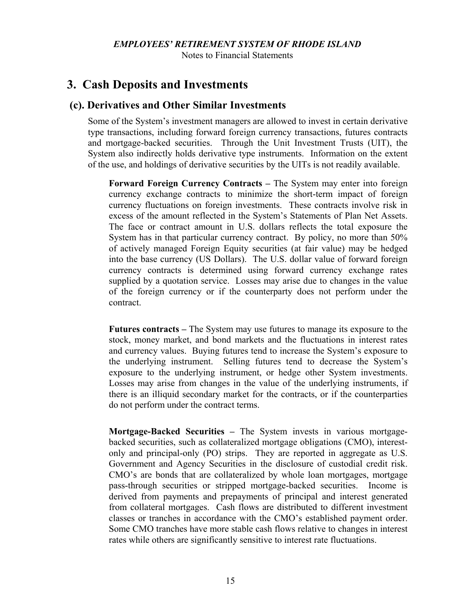#### *EMPLOYEES' RETIREMENT SYSTEM OF RHODE ISLAND*

Notes to Financial Statements

## **3. Cash Deposits and Investments**

#### **(c). Derivatives and Other Similar Investments**

Some of the System's investment managers are allowed to invest in certain derivative type transactions, including forward foreign currency transactions, futures contracts and mortgage-backed securities. Through the Unit Investment Trusts (UIT), the System also indirectly holds derivative type instruments. Information on the extent of the use, and holdings of derivative securities by the UITs is not readily available.

**Forward Foreign Currency Contracts –** The System may enter into foreign currency exchange contracts to minimize the short-term impact of foreign currency fluctuations on foreign investments. These contracts involve risk in excess of the amount reflected in the System's Statements of Plan Net Assets. The face or contract amount in U.S. dollars reflects the total exposure the System has in that particular currency contract. By policy, no more than 50% of actively managed Foreign Equity securities (at fair value) may be hedged into the base currency (US Dollars). The U.S. dollar value of forward foreign currency contracts is determined using forward currency exchange rates supplied by a quotation service. Losses may arise due to changes in the value of the foreign currency or if the counterparty does not perform under the contract.

**Futures contracts –** The System may use futures to manage its exposure to the stock, money market, and bond markets and the fluctuations in interest rates and currency values. Buying futures tend to increase the System's exposure to the underlying instrument. Selling futures tend to decrease the System's exposure to the underlying instrument, or hedge other System investments. Losses may arise from changes in the value of the underlying instruments, if there is an illiquid secondary market for the contracts, or if the counterparties do not perform under the contract terms.

**Mortgage-Backed Securities –** The System invests in various mortgagebacked securities, such as collateralized mortgage obligations (CMO), interestonly and principal-only (PO) strips. They are reported in aggregate as U.S. Government and Agency Securities in the disclosure of custodial credit risk. CMO's are bonds that are collateralized by whole loan mortgages, mortgage pass-through securities or stripped mortgage-backed securities. Income is derived from payments and prepayments of principal and interest generated from collateral mortgages. Cash flows are distributed to different investment classes or tranches in accordance with the CMO's established payment order. Some CMO tranches have more stable cash flows relative to changes in interest rates while others are significantly sensitive to interest rate fluctuations.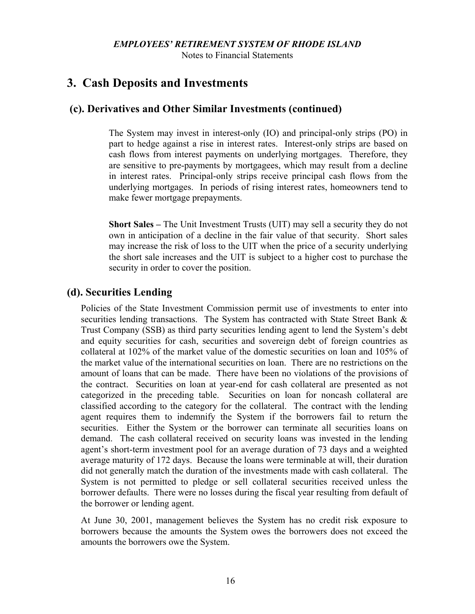Notes to Financial Statements

## **3. Cash Deposits and Investments**

#### **(c). Derivatives and Other Similar Investments (continued)**

The System may invest in interest-only (IO) and principal-only strips (PO) in part to hedge against a rise in interest rates. Interest-only strips are based on cash flows from interest payments on underlying mortgages. Therefore, they are sensitive to pre-payments by mortgagees, which may result from a decline in interest rates. Principal-only strips receive principal cash flows from the underlying mortgages. In periods of rising interest rates, homeowners tend to make fewer mortgage prepayments.

**Short Sales –** The Unit Investment Trusts (UIT) may sell a security they do not own in anticipation of a decline in the fair value of that security. Short sales may increase the risk of loss to the UIT when the price of a security underlying the short sale increases and the UIT is subject to a higher cost to purchase the security in order to cover the position.

### **(d). Securities Lending**

Policies of the State Investment Commission permit use of investments to enter into securities lending transactions. The System has contracted with State Street Bank & Trust Company (SSB) as third party securities lending agent to lend the System's debt and equity securities for cash, securities and sovereign debt of foreign countries as collateral at 102% of the market value of the domestic securities on loan and 105% of the market value of the international securities on loan. There are no restrictions on the amount of loans that can be made. There have been no violations of the provisions of the contract. Securities on loan at year-end for cash collateral are presented as not categorized in the preceding table. Securities on loan for noncash collateral are classified according to the category for the collateral. The contract with the lending agent requires them to indemnify the System if the borrowers fail to return the securities. Either the System or the borrower can terminate all securities loans on demand. The cash collateral received on security loans was invested in the lending agent's short-term investment pool for an average duration of 73 days and a weighted average maturity of 172 days. Because the loans were terminable at will, their duration did not generally match the duration of the investments made with cash collateral. The System is not permitted to pledge or sell collateral securities received unless the borrower defaults. There were no losses during the fiscal year resulting from default of the borrower or lending agent.

At June 30, 2001, management believes the System has no credit risk exposure to borrowers because the amounts the System owes the borrowers does not exceed the amounts the borrowers owe the System.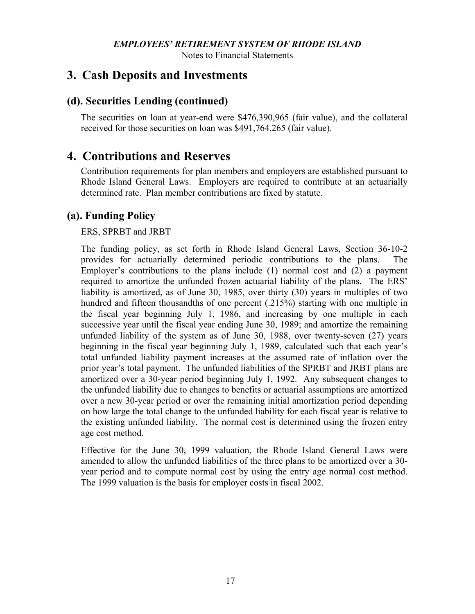Notes to Financial Statements

## **3. Cash Deposits and Investments**

### **(d). Securities Lending (continued)**

The securities on loan at year-end were \$476,390,965 (fair value), and the collateral received for those securities on loan was \$491,764,265 (fair value).

## **4. Contributions and Reserves**

Contribution requirements for plan members and employers are established pursuant to Rhode Island General Laws. Employers are required to contribute at an actuarially determined rate. Plan member contributions are fixed by statute.

### **(a). Funding Policy**

#### ERS, SPRBT and JRBT

The funding policy, as set forth in Rhode Island General Laws, Section 36-10-2 provides for actuarially determined periodic contributions to the plans. The Employer's contributions to the plans include (1) normal cost and (2) a payment required to amortize the unfunded frozen actuarial liability of the plans. The ERS' liability is amortized, as of June 30, 1985, over thirty (30) years in multiples of two hundred and fifteen thousandths of one percent (.215%) starting with one multiple in the fiscal year beginning July 1, 1986, and increasing by one multiple in each successive year until the fiscal year ending June 30, 1989; and amortize the remaining unfunded liability of the system as of June 30, 1988, over twenty-seven (27) years beginning in the fiscal year beginning July 1, 1989, calculated such that each year's total unfunded liability payment increases at the assumed rate of inflation over the prior year's total payment. The unfunded liabilities of the SPRBT and JRBT plans are amortized over a 30-year period beginning July 1, 1992. Any subsequent changes to the unfunded liability due to changes to benefits or actuarial assumptions are amortized over a new 30-year period or over the remaining initial amortization period depending on how large the total change to the unfunded liability for each fiscal year is relative to the existing unfunded liability. The normal cost is determined using the frozen entry age cost method.

Effective for the June 30, 1999 valuation, the Rhode Island General Laws were amended to allow the unfunded liabilities of the three plans to be amortized over a 30 year period and to compute normal cost by using the entry age normal cost method. The 1999 valuation is the basis for employer costs in fiscal 2002.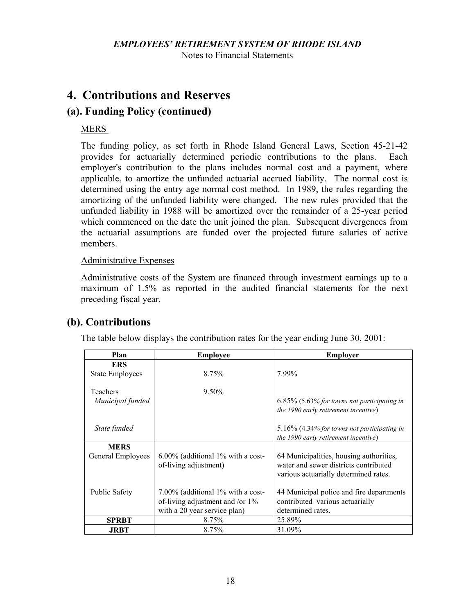Notes to Financial Statements

# **4. Contributions and Reserves**

## **(a). Funding Policy (continued)**

#### MERS

The funding policy, as set forth in Rhode Island General Laws, Section 45-21-42 provides for actuarially determined periodic contributions to the plans. Each employer's contribution to the plans includes normal cost and a payment, where applicable, to amortize the unfunded actuarial accrued liability. The normal cost is determined using the entry age normal cost method. In 1989, the rules regarding the amortizing of the unfunded liability were changed. The new rules provided that the unfunded liability in 1988 will be amortized over the remainder of a 25-year period which commenced on the date the unit joined the plan. Subsequent divergences from the actuarial assumptions are funded over the projected future salaries of active members.

#### Administrative Expenses

Administrative costs of the System are financed through investment earnings up to a maximum of 1.5% as reported in the audited financial statements for the next preceding fiscal year.

## **(b). Contributions**

The table below displays the contribution rates for the year ending June 30, 2001:

| Plan                                         | <b>Employee</b>                                                      | <b>Employer</b>                                                                                                                       |  |  |
|----------------------------------------------|----------------------------------------------------------------------|---------------------------------------------------------------------------------------------------------------------------------------|--|--|
| <b>ERS</b>                                   |                                                                      |                                                                                                                                       |  |  |
| <b>State Employees</b>                       | 8.75%                                                                | 7.99%                                                                                                                                 |  |  |
| Teachers<br>Municipal funded<br>State funded | $9.50\%$                                                             | $6.85\%$ (5.63% for towns not participating in<br>the 1990 early retirement incentive)<br>5.16% (4.34% for towns not participating in |  |  |
|                                              |                                                                      | the 1990 early retirement incentive)                                                                                                  |  |  |
| <b>MERS</b>                                  |                                                                      |                                                                                                                                       |  |  |
| General Employees                            | $6.00\%$ (additional 1% with a cost-<br>of-living adjustment)        | 64 Municipalities, housing authorities,<br>water and sewer districts contributed<br>various actuarially determined rates.             |  |  |
| Public Safety                                | 7.00% (additional 1% with a cost-<br>of-living adjustment and /or 1% | 44 Municipal police and fire departments<br>contributed various actuarially                                                           |  |  |
|                                              | with a 20 year service plan)                                         | determined rates.                                                                                                                     |  |  |
| <b>SPRBT</b>                                 | 8.75%                                                                | 25.89%                                                                                                                                |  |  |
| <b>JRBT</b>                                  | 8.75%                                                                | 31.09%                                                                                                                                |  |  |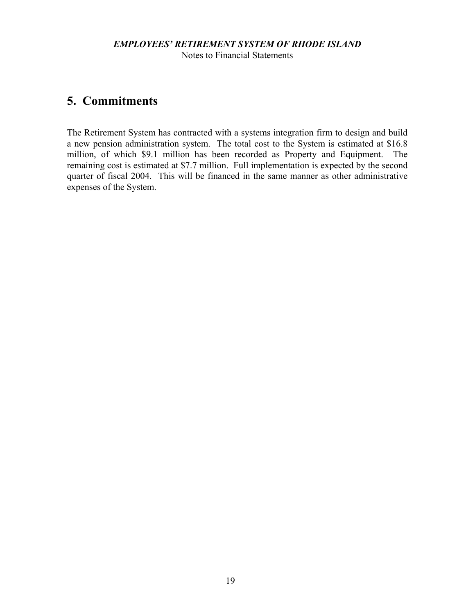#### *EMPLOYEES' RETIREMENT SYSTEM OF RHODE ISLAND* Notes to Financial Statements

# **5. Commitments**

The Retirement System has contracted with a systems integration firm to design and build a new pension administration system. The total cost to the System is estimated at \$16.8 million, of which \$9.1 million has been recorded as Property and Equipment. The remaining cost is estimated at \$7.7 million. Full implementation is expected by the second quarter of fiscal 2004. This will be financed in the same manner as other administrative expenses of the System.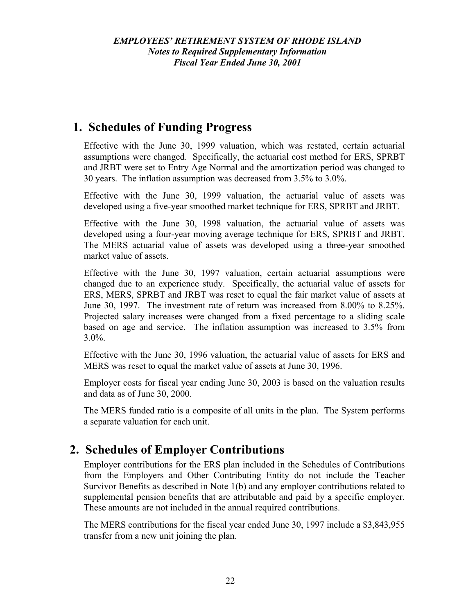# **1. Schedules of Funding Progress**

Effective with the June 30, 1999 valuation, which was restated, certain actuarial assumptions were changed. Specifically, the actuarial cost method for ERS, SPRBT and JRBT were set to Entry Age Normal and the amortization period was changed to 30 years. The inflation assumption was decreased from 3.5% to 3.0%.

Effective with the June 30, 1999 valuation, the actuarial value of assets was developed using a five-year smoothed market technique for ERS, SPRBT and JRBT.

Effective with the June 30, 1998 valuation, the actuarial value of assets was developed using a four-year moving average technique for ERS, SPRBT and JRBT. The MERS actuarial value of assets was developed using a three-year smoothed market value of assets.

Effective with the June 30, 1997 valuation, certain actuarial assumptions were changed due to an experience study. Specifically, the actuarial value of assets for ERS, MERS, SPRBT and JRBT was reset to equal the fair market value of assets at June 30, 1997. The investment rate of return was increased from 8.00% to 8.25%. Projected salary increases were changed from a fixed percentage to a sliding scale based on age and service. The inflation assumption was increased to 3.5% from  $3.0\%$ .

Effective with the June 30, 1996 valuation, the actuarial value of assets for ERS and MERS was reset to equal the market value of assets at June 30, 1996.

Employer costs for fiscal year ending June 30, 2003 is based on the valuation results and data as of June 30, 2000.

The MERS funded ratio is a composite of all units in the plan. The System performs a separate valuation for each unit.

# **2. Schedules of Employer Contributions**

Employer contributions for the ERS plan included in the Schedules of Contributions from the Employers and Other Contributing Entity do not include the Teacher Survivor Benefits as described in Note 1(b) and any employer contributions related to supplemental pension benefits that are attributable and paid by a specific employer. These amounts are not included in the annual required contributions.

The MERS contributions for the fiscal year ended June 30, 1997 include a \$3,843,955 transfer from a new unit joining the plan.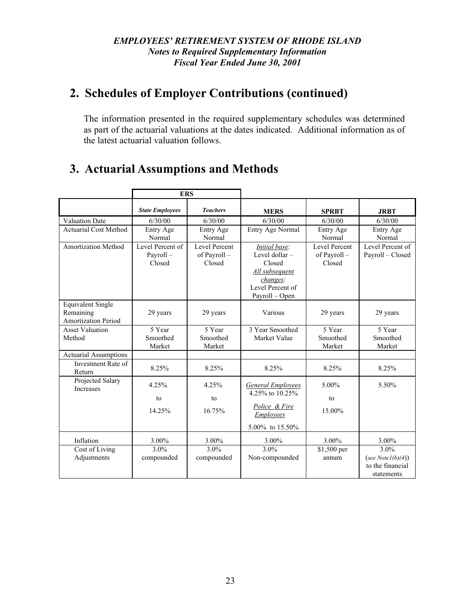# **2. Schedules of Employer Contributions (continued)**

The information presented in the required supplementary schedules was determined as part of the actuarial valuations at the dates indicated. Additional information as of the latest actuarial valuation follows.

# **3. Actuarial Assumptions and Methods**

|                                                              | <b>ERS</b>                             |                                         |                                                                                                               |                                                |                                                                |
|--------------------------------------------------------------|----------------------------------------|-----------------------------------------|---------------------------------------------------------------------------------------------------------------|------------------------------------------------|----------------------------------------------------------------|
|                                                              | <b>State Employees</b>                 | <b>Teachers</b>                         | <b>MERS</b>                                                                                                   | <b>SPRBT</b>                                   | <b>JRBT</b>                                                    |
| Valuation Date                                               | 6/30/00                                | 6/30/00                                 | 6/30/00                                                                                                       | 6/30/00                                        | 6/30/00                                                        |
| <b>Actuarial Cost Method</b>                                 | Entry Age<br>Normal                    | Entry Age<br>Normal                     | Entry Age Normal                                                                                              | Entry Age<br>Normal                            | Entry Age<br>Normal                                            |
| <b>Amortization Method</b>                                   | Level Percent of<br>Payroll-<br>Closed | Level Percent<br>of Payroll -<br>Closed | Initial base:<br>Level dollar -<br>Closed<br>All subsequent<br>changes:<br>Level Percent of<br>Payroll - Open | <b>Level Percent</b><br>of Payroll -<br>Closed | Level Percent of<br>Payroll - Closed                           |
| <b>Equivalent Single</b><br>Remaining<br>Amortization Period | 29 years                               | 29 years                                | Various                                                                                                       | 29 years                                       | 29 years                                                       |
| <b>Asset Valuation</b><br>Method                             | 5 Year<br>Smoothed<br>Market           | 5 Year<br>Smoothed<br>Market            | 3 Year Smoothed<br>Market Value                                                                               | 5 Year<br>Smoothed<br>Market                   | 5 Year<br>Smoothed<br>Market                                   |
| <b>Actuarial Assumptions</b>                                 |                                        |                                         |                                                                                                               |                                                |                                                                |
| Investment Rate of<br>Return                                 | 8.25%                                  | 8.25%                                   | 8.25%                                                                                                         | 8.25%                                          | 8.25%                                                          |
| Projected Salary<br>Increases                                | 4.25%<br>to<br>14.25%                  | 4.25%<br>to<br>16.75%                   | <b>General Employees</b><br>4.25% to 10.25%<br>Police & Fire<br><b>Employees</b><br>5.00% to 15.50%           | $5.00\%$<br>to<br>15.00%                       | 5.50%                                                          |
| Inflation                                                    | 3.00%                                  | 3.00%                                   | 3.00%                                                                                                         | 3.00%                                          | 3.00%                                                          |
| Cost of Living<br>Adjustments                                | 3.0%<br>compounded                     | 3.0%<br>compounded                      | 3.0%<br>Non-compounded                                                                                        | \$1,500 per<br>annum                           | $3.0\%$<br>(see Notel(b)(4))<br>to the financial<br>statements |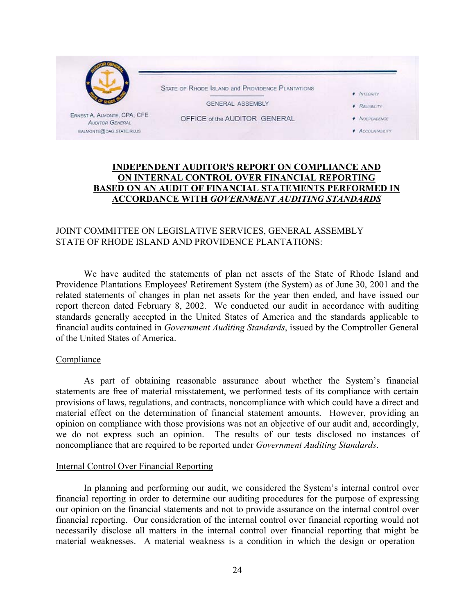

#### **INDEPENDENT AUDITOR'S REPORT ON COMPLIANCE AND ON INTERNAL CONTROL OVER FINANCIAL REPORTING BASED ON AN AUDIT OF FINANCIAL STATEMENTS PERFORMED IN ACCORDANCE WITH** *GOVERNMENT AUDITING STANDARDS*

#### JOINT COMMITTEE ON LEGISLATIVE SERVICES, GENERAL ASSEMBLY STATE OF RHODE ISLAND AND PROVIDENCE PLANTATIONS:

We have audited the statements of plan net assets of the State of Rhode Island and Providence Plantations Employees' Retirement System (the System) as of June 30, 2001 and the related statements of changes in plan net assets for the year then ended, and have issued our report thereon dated February 8, 2002. We conducted our audit in accordance with auditing standards generally accepted in the United States of America and the standards applicable to financial audits contained in *Government Auditing Standards*, issued by the Comptroller General of the United States of America.

#### Compliance

As part of obtaining reasonable assurance about whether the System's financial statements are free of material misstatement, we performed tests of its compliance with certain provisions of laws, regulations, and contracts, noncompliance with which could have a direct and material effect on the determination of financial statement amounts. However, providing an opinion on compliance with those provisions was not an objective of our audit and, accordingly, we do not express such an opinion. The results of our tests disclosed no instances of noncompliance that are required to be reported under *Government Auditing Standards*.

#### Internal Control Over Financial Reporting

In planning and performing our audit, we considered the System's internal control over financial reporting in order to determine our auditing procedures for the purpose of expressing our opinion on the financial statements and not to provide assurance on the internal control over financial reporting. Our consideration of the internal control over financial reporting would not necessarily disclose all matters in the internal control over financial reporting that might be material weaknesses. A material weakness is a condition in which the design or operation